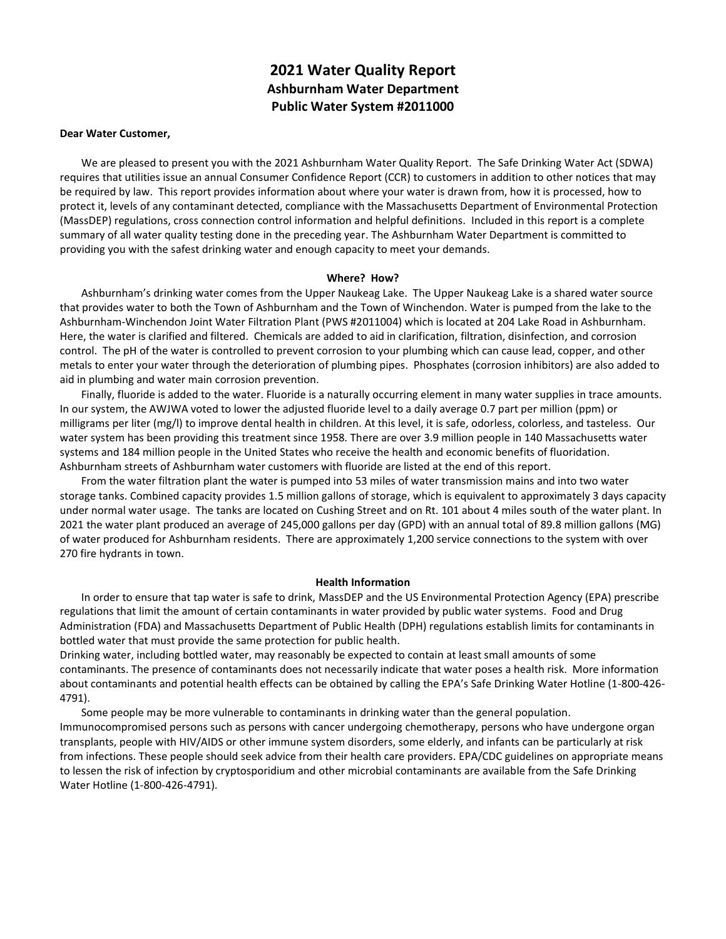# **2021 Water Quality Report Ashburnham Water Department Public Water System #2011000**

#### **Dear Water Customer,**

We are pleased to present you with the 2021 Ashburnham Water Quality Report. The Safe Drinking Water Act (SDWA) requires that utilities issue an annual Consumer Confidence Report (CCR) to customers in addition to other notices that may be required by law. This report provides information about where your water is drawn from, how it is processed, how to protect it, levels of any contaminant detected, compliance with the Massachusetts Department of Environmental Protection (MassDEP) regulations, cross connection control information and helpful definitions. Included in this report is a complete summary of all water quality testing done in the preceding year. The Ashburnham Water Department is committed to providing you with the safest drinking water and enough capacity to meet your demands.

#### **Where? How?**

Ashburnham's drinking water comes from the Upper Naukeag Lake. The Upper Naukeag Lake is a shared water source that provides water to both the Town of Ashburnham and the Town of Winchendon. Water is pumped from the lake to the Ashburnham-Winchendon Joint Water Filtration Plant (PWS #2011004) which is located at 204 Lake Road in Ashburnham. Here, the water is clarified and filtered. Chemicals are added to aid in clarification, filtration, disinfection, and corrosion control. The pH of the water is controlled to prevent corrosion to your plumbing which can cause lead, copper, and other metals to enter your water through the deterioration of plumbing pipes. Phosphates (corrosion inhibitors) are also added to aid in plumbing and water main corrosion prevention.

systems and 184 million people in the United States who receive the health and economic benefits of fluoridation.<br>Ashburnham streets of Ashburnham water customers with fluoride are listed at the end of this report. Finally, fluoride is added to the water. Fluoride is a naturally occurring element in many water supplies in trace amounts. In our system, the AWJWA voted to lower the adjusted fluoride level to a daily average 0.7 part per million (ppm) or milligrams per liter (mg/l) to improve dental health in children. At this level, it is safe, odorless, colorless, and tasteless. Our water system has been providing this treatment since 1958. There are over 3.9 million people in 140 Massachusetts water

From the water filtration plant the water is pumped into 53 miles of water transmission mains and into two water storage tanks. Combined capacity provides 1.5 million gallons of storage, which is equivalent to approximately 3 days capacity under normal water usage. The tanks are located on Cushing Street and on Rt. 101 about 4 miles south of the water plant. In 2021 the water plant produced an average of 245,000 gallons per day (GPD) with an annual total of 89.8 million gallons (MG) of water produced for Ashburnham residents. There are approximately 1,200 service connections to the system with over 270 fire hydrants in town.

#### **Health Information**

 regulations that limit the amount of certain contaminants in water provided by public water systems. Food and Drug In order to ensure that tap water is safe to drink, MassDEP and the US Environmental Protection Agency (EPA) prescribe Administration (FDA) and Massachusetts Department of Public Health (DPH) regulations establish limits for contaminants in bottled water that must provide the same protection for public health.

Drinking water, including bottled water, may reasonably be expected to contain at least small amounts of some contaminants. The presence of contaminants does not necessarily indicate that water poses a health risk. More information about contaminants and potential health effects can be obtained by calling the EPA's Safe Drinking Water Hotline (1-800-426- 4791).

Some people may be more vulnerable to contaminants in drinking water than the general population. Immunocompromised persons such as persons with cancer undergoing chemotherapy, persons who have undergone organ transplants, people with HIV/AIDS or other immune system disorders, some elderly, and infants can be particularly at risk from infections. These people should seek advice from their health care providers. EPA/CDC guidelines on appropriate means to lessen the risk of infection by cryptosporidium and other microbial contaminants are available from the Safe Drinking Water Hotline (1-800-426-4791).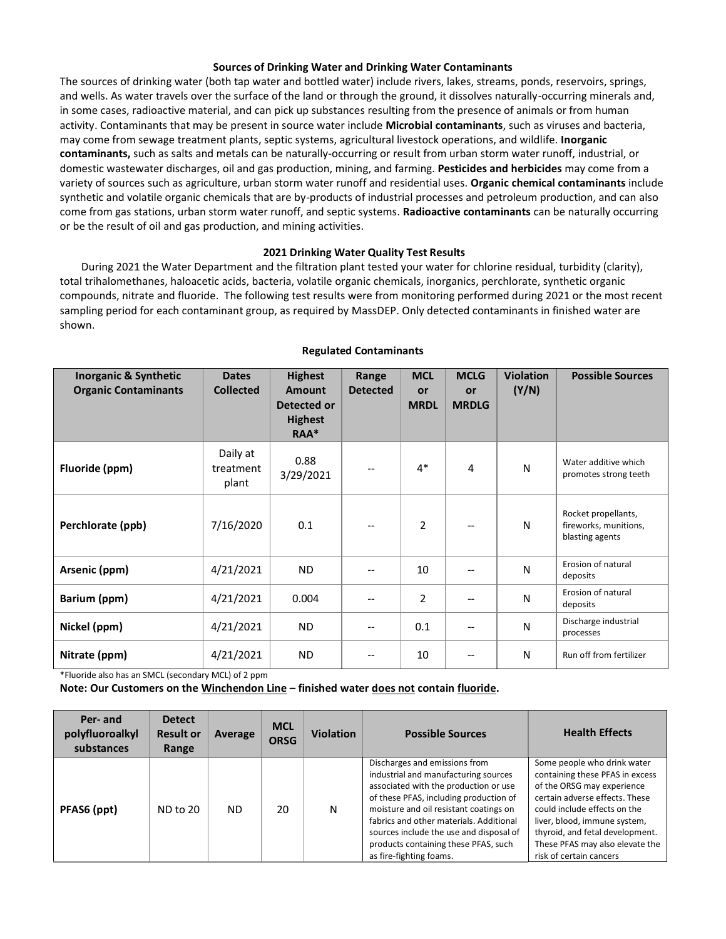## **Sources of Drinking Water and Drinking Water Contaminants**

The sources of drinking water (both tap water and bottled water) include rivers, lakes, streams, ponds, reservoirs, springs, and wells. As water travels over the surface of the land or through the ground, it dissolves naturally-occurring minerals and, in some cases, radioactive material, and can pick up substances resulting from the presence of animals or from human activity. Contaminants that may be present in source water include **Microbial contaminants**, such as viruses and bacteria, may come from sewage treatment plants, septic systems, agricultural livestock operations, and wildlife. **Inorganic contaminants,** such as salts and metals can be naturally-occurring or result from urban storm water runoff, industrial, or domestic wastewater discharges, oil and gas production, mining, and farming. **Pesticides and herbicides** may come from a variety of sources such as agriculture, urban storm water runoff and residential uses. **Organic chemical contaminants** include synthetic and volatile organic chemicals that are by-products of industrial processes and petroleum production, and can also come from gas stations, urban storm water runoff, and septic systems. **Radioactive contaminants** can be naturally occurring or be the result of oil and gas production, and mining activities.

## **2021 Drinking Water Quality Test Results**

During 2021 the Water Department and the filtration plant tested your water for chlorine residual, turbidity (clarity), total trihalomethanes, haloacetic acids, bacteria, volatile organic chemicals, inorganics, perchlorate, synthetic organic compounds, nitrate and fluoride. The following test results were from monitoring performed during 2021 or the most recent sampling period for each contaminant group, as required by MassDEP. Only detected contaminants in finished water are shown.

| <b>Inorganic &amp; Synthetic</b><br><b>Organic Contaminants</b> | <b>Dates</b><br><b>Collected</b> | <b>Highest</b><br>Amount<br>Detected or<br><b>Highest</b><br>RAA* | Range<br><b>Detected</b> | <b>MCL</b><br>or<br><b>MRDL</b> | <b>MCLG</b><br>or<br><b>MRDLG</b> | <b>Violation</b><br>(Y/N) | <b>Possible Sources</b>                                         |
|-----------------------------------------------------------------|----------------------------------|-------------------------------------------------------------------|--------------------------|---------------------------------|-----------------------------------|---------------------------|-----------------------------------------------------------------|
| Fluoride (ppm)                                                  | Daily at<br>treatment<br>plant   | 0.88<br>3/29/2021                                                 | --                       | $4*$                            | 4                                 | $\mathsf{N}$              | Water additive which<br>promotes strong teeth                   |
| Perchlorate (ppb)                                               | 7/16/2020                        | 0.1                                                               | $\overline{\phantom{a}}$ | $\overline{2}$                  | --                                | $\mathsf{N}$              | Rocket propellants,<br>fireworks, munitions,<br>blasting agents |
| Arsenic (ppm)                                                   | 4/21/2021                        | <b>ND</b>                                                         | --                       | 10                              | --                                | $\mathsf{N}$              | Erosion of natural<br>deposits                                  |
| Barium (ppm)                                                    | 4/21/2021                        | 0.004                                                             | $\overline{\phantom{a}}$ | 2                               | $-$                               | $\mathsf{N}$              | Erosion of natural<br>deposits                                  |
| Nickel (ppm)                                                    | 4/21/2021                        | <b>ND</b>                                                         | $-$                      | 0.1                             |                                   | $\mathsf{N}$              | Discharge industrial<br>processes                               |
| Nitrate (ppm)                                                   | 4/21/2021                        | <b>ND</b>                                                         | --                       | 10                              | --                                | $\mathsf{N}$              | Run off from fertilizer                                         |

#### **Regulated Contaminants**

\*Fluoride also has an SMCL (secondary MCL) of 2 ppm

 **Note: Our Customers on the Winchendon Line – finished water does not contain fluoride.** 

| Per- and<br>polyfluoroalkyl<br>substances | <b>Detect</b><br><b>Result or</b><br>Range | Average | <b>MCL</b><br><b>ORSG</b> | <b>Violation</b> | <b>Possible Sources</b>                                                                                                                                                                                                                                                                                                                                     | <b>Health Effects</b>                                                                                                                                                                                                                                                                           |
|-------------------------------------------|--------------------------------------------|---------|---------------------------|------------------|-------------------------------------------------------------------------------------------------------------------------------------------------------------------------------------------------------------------------------------------------------------------------------------------------------------------------------------------------------------|-------------------------------------------------------------------------------------------------------------------------------------------------------------------------------------------------------------------------------------------------------------------------------------------------|
| PFAS6 (ppt)                               | <b>ND to 20</b>                            | ND.     | 20                        | N                | Discharges and emissions from<br>industrial and manufacturing sources<br>associated with the production or use<br>of these PFAS, including production of<br>moisture and oil resistant coatings on<br>fabrics and other materials. Additional<br>sources include the use and disposal of<br>products containing these PFAS, such<br>as fire-fighting foams. | Some people who drink water<br>containing these PFAS in excess<br>of the ORSG may experience<br>certain adverse effects. These<br>could include effects on the<br>liver, blood, immune system,<br>thyroid, and fetal development.<br>These PFAS may also elevate the<br>risk of certain cancers |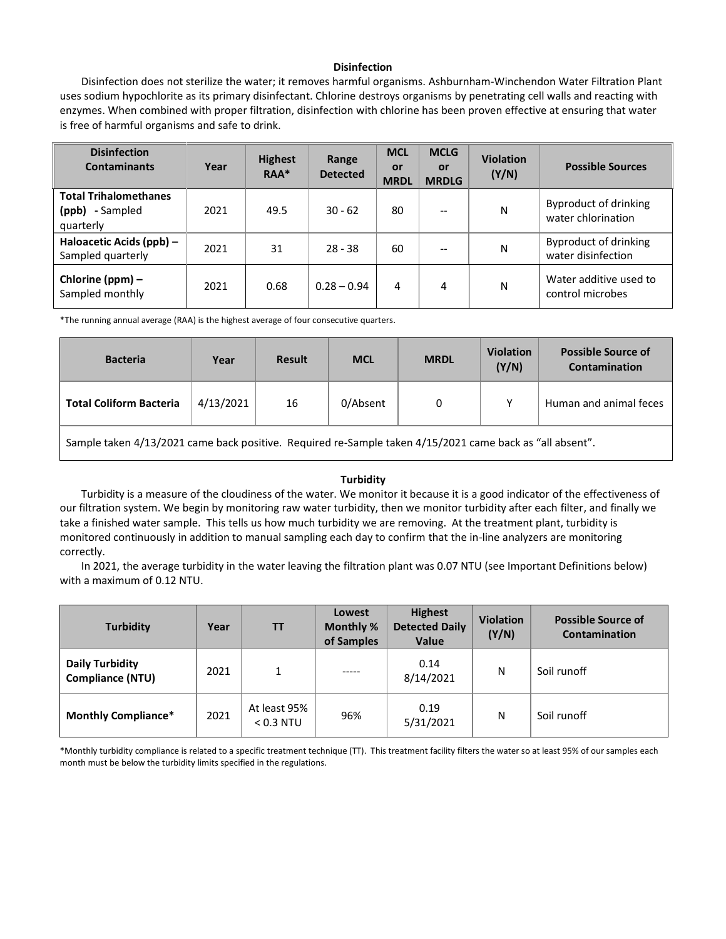# **Disinfection**

Disinfection does not sterilize the water; it removes harmful organisms. Ashburnham-Winchendon Water Filtration Plant uses sodium hypochlorite as its primary disinfectant. Chlorine destroys organisms by penetrating cell walls and reacting with enzymes. When combined with proper filtration, disinfection with chlorine has been proven effective at ensuring that water is free of harmful organisms and safe to drink.

| <b>Disinfection</b><br><b>Contaminants</b>                   | Year | <b>Highest</b><br>RAA* | Range<br><b>Detected</b> | <b>MCL</b><br>or<br><b>MRDL</b> | <b>MCLG</b><br>or<br><b>MRDLG</b> | <b>Violation</b><br>(Y/N) | <b>Possible Sources</b>                            |
|--------------------------------------------------------------|------|------------------------|--------------------------|---------------------------------|-----------------------------------|---------------------------|----------------------------------------------------|
| <b>Total Trihalomethanes</b><br>(ppb) - Sampled<br>quarterly | 2021 | 49.5                   | $30 - 62$                | 80                              |                                   | N                         | <b>Byproduct of drinking</b><br>water chlorination |
| Haloacetic Acids (ppb) -<br>Sampled quarterly                | 2021 | 31                     | $28 - 38$                | 60                              |                                   | N                         | <b>Byproduct of drinking</b><br>water disinfection |
| Chlorine (ppm) -<br>Sampled monthly                          | 2021 | 0.68                   | $0.28 - 0.94$            | 4                               | 4                                 | N                         | Water additive used to<br>control microbes         |

\*The running annual average (RAA) is the highest average of four consecutive quarters.

| <b>Bacteria</b>                | Year      | <b>Result</b> | <b>MCL</b> | <b>MRDL</b> | <b>Violation</b><br>(Y/N) | <b>Possible Source of</b><br>Contamination |
|--------------------------------|-----------|---------------|------------|-------------|---------------------------|--------------------------------------------|
| <b>Total Coliform Bacteria</b> | 4/13/2021 | 16            | 0/Absent   | 0           |                           | Human and animal feces                     |

Sample taken 4/13/2021 came back positive. Required re-Sample taken 4/15/2021 came back as "all absent".

## **Turbidity**

Turbidity is a measure of the cloudiness of the water. We monitor it because it is a good indicator of the effectiveness of our filtration system. We begin by monitoring raw water turbidity, then we monitor turbidity after each filter, and finally we take a finished water sample. This tells us how much turbidity we are removing. At the treatment plant, turbidity is monitored continuously in addition to manual sampling each day to confirm that the in-line analyzers are monitoring correctly.

In 2021, the average turbidity in the water leaving the filtration plant was 0.07 NTU (see Important Definitions below) with a maximum of 0.12 NTU.

| <b>Turbidity</b>                           | Year | <b>TT</b>                   | Lowest<br>Monthly %<br>of Samples | <b>Highest</b><br><b>Detected Daily</b><br><b>Value</b> | <b>Violation</b><br>(Y/N) | <b>Possible Source of</b><br><b>Contamination</b> |
|--------------------------------------------|------|-----------------------------|-----------------------------------|---------------------------------------------------------|---------------------------|---------------------------------------------------|
| Daily Turbidity<br><b>Compliance (NTU)</b> | 2021 |                             | -----                             | 0.14<br>8/14/2021                                       | N                         | Soil runoff                                       |
| <b>Monthly Compliance*</b>                 | 2021 | At least 95%<br>$< 0.3$ NTU | 96%                               | 0.19<br>5/31/2021                                       | Ν                         | Soil runoff                                       |

 \*Monthly turbidity compliance is related to a specific treatment technique (TT). This treatment facility filters the water so at least 95% of our samples each month must be below the turbidity limits specified in the regulations.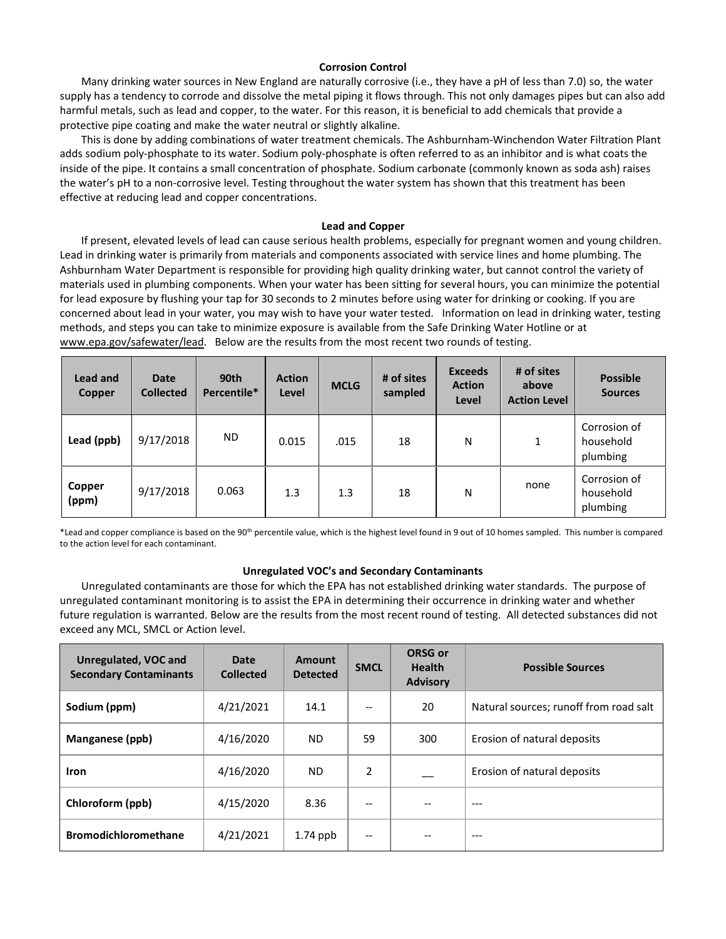## **Corrosion Control**

Many drinking water sources in New England are naturally corrosive (i.e., they have a pH of less than 7.0) so, the water supply has a tendency to corrode and dissolve the metal piping it flows through. This not only damages pipes but can also add harmful metals, such as lead and copper, to the water. For this reason, it is beneficial to add chemicals that provide a protective pipe coating and make the water neutral or slightly alkaline.

This is done by adding combinations of water treatment chemicals. The Ashburnham-Winchendon Water Filtration Plant adds sodium poly-phosphate to its water. Sodium poly-phosphate is often referred to as an inhibitor and is what coats the inside of the pipe. It contains a small concentration of phosphate. Sodium carbonate (commonly known as soda ash) raises the water's pH to a non-corrosive level. Testing throughout the water system has shown that this treatment has been effective at reducing lead and copper concentrations.

#### **Lead and Copper**

 for lead exposure by flushing your tap for 30 seconds to 2 minutes before using water for drinking or cooking. If you are concerned about lead in your water, you may wish to have your water tested. Information on lead in drinking water, testing [www.epa.gov/safewater/lead.](http://www.epa.gov/safewater/lead) Below are the results from the most recent two rounds of testing. If present, elevated levels of lead can cause serious health problems, especially for pregnant women and young children. Lead in drinking water is primarily from materials and components associated with service lines and home plumbing. The Ashburnham Water Department is responsible for providing high quality drinking water, but cannot control the variety of materials used in plumbing components. When your water has been sitting for several hours, you can minimize the potential methods, and steps you can take to minimize exposure is available from the Safe Drinking Water Hotline or at

| Lead and<br><b>Copper</b> | <b>Date</b><br><b>Collected</b> | 90th<br>Percentile* | <b>Action</b><br>Level | <b>MCLG</b> | # of sites<br>sampled | <b>Exceeds</b><br><b>Action</b><br>Level | # of sites<br>above<br><b>Action Level</b> | <b>Possible</b><br><b>Sources</b>     |
|---------------------------|---------------------------------|---------------------|------------------------|-------------|-----------------------|------------------------------------------|--------------------------------------------|---------------------------------------|
| Lead (ppb)                | 9/17/2018                       | ND.                 | 0.015                  | .015        | 18                    | N                                        | $\mathbf{1}$                               | Corrosion of<br>household<br>plumbing |
| Copper<br>(ppm)           | 9/17/2018                       | 0.063               | 1.3                    | 1.3         | 18                    | N                                        | none                                       | Corrosion of<br>household<br>plumbing |

 \*Lead and copper compliance is based on the 90th percentile value, which is the highest level found in 9 out of 10 homes sampled. This number is compared to the action level for each contaminant.

#### **Unregulated VOC's and Secondary Contaminants**

Unregulated contaminants are those for which the EPA has not established drinking water standards. The purpose of unregulated contaminant monitoring is to assist the EPA in determining their occurrence in drinking water and whether future regulation is warranted. Below are the results from the most recent round of testing. All detected substances did not exceed any MCL, SMCL or Action level.

| Unregulated, VOC and<br><b>Secondary Contaminants</b> | Date<br><b>Collected</b> | Amount<br><b>Detected</b> | <b>SMCL</b> | <b>ORSG or</b><br><b>Health</b><br><b>Advisory</b> | <b>Possible Sources</b>                |
|-------------------------------------------------------|--------------------------|---------------------------|-------------|----------------------------------------------------|----------------------------------------|
| Sodium (ppm)                                          | 4/21/2021                | 14.1                      | $-$         | 20                                                 | Natural sources; runoff from road salt |
| Manganese (ppb)                                       | 4/16/2020                | ND.                       | 59          | 300                                                | Erosion of natural deposits            |
| <b>Iron</b>                                           | 4/16/2020                | <b>ND</b>                 | 2           |                                                    | Erosion of natural deposits            |
| Chloroform (ppb)                                      | 4/15/2020                | 8.36                      | --          |                                                    |                                        |
| <b>Bromodichloromethane</b>                           | 4/21/2021                | $1.74$ ppb                | --          |                                                    | $- - -$                                |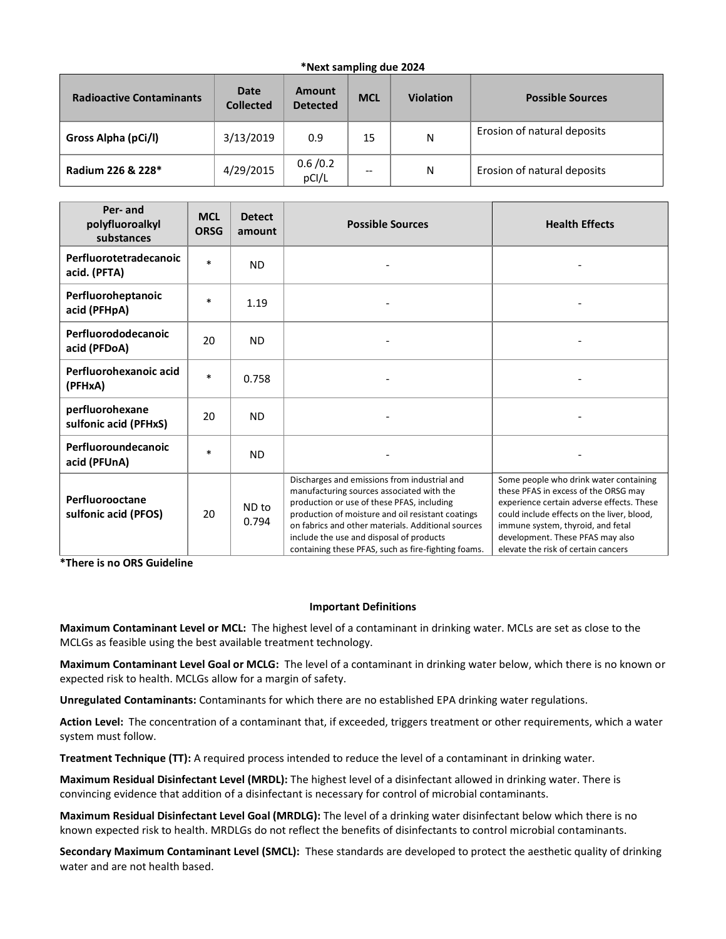# **\*Next sampling due 2024**

| <b>Radioactive Contaminants</b> | Date<br><b>Collected</b> | Amount<br><b>Detected</b> | <b>MCL</b> | <b>Violation</b> | <b>Possible Sources</b>     |
|---------------------------------|--------------------------|---------------------------|------------|------------------|-----------------------------|
| Gross Alpha (pCi/l)             | 3/13/2019                | 0.9                       | 15         | N                | Erosion of natural deposits |
| Radium 226 & 228*               | 4/29/2015                | 0.6/0.2<br>pCI/L          | --         | N                | Erosion of natural deposits |

| Per- and<br>polyfluoroalkyl<br>substances | <b>MCL</b><br><b>ORSG</b> | <b>Detect</b><br>amount | <b>Possible Sources</b>                                                                                                                                                                                                                                                                                                                               | <b>Health Effects</b>                                                                                                                                                                                                                                                                     |
|-------------------------------------------|---------------------------|-------------------------|-------------------------------------------------------------------------------------------------------------------------------------------------------------------------------------------------------------------------------------------------------------------------------------------------------------------------------------------------------|-------------------------------------------------------------------------------------------------------------------------------------------------------------------------------------------------------------------------------------------------------------------------------------------|
| Perfluorotetradecanoic<br>acid. (PFTA)    | $\ast$                    | <b>ND</b>               |                                                                                                                                                                                                                                                                                                                                                       |                                                                                                                                                                                                                                                                                           |
| Perfluoroheptanoic<br>acid (PFHpA)        | $\ast$                    | 1.19                    |                                                                                                                                                                                                                                                                                                                                                       |                                                                                                                                                                                                                                                                                           |
| Perfluorododecanoic<br>acid (PFDoA)       | 20                        | <b>ND</b>               |                                                                                                                                                                                                                                                                                                                                                       |                                                                                                                                                                                                                                                                                           |
| Perfluorohexanoic acid<br>(PFHxA)         | $\ast$                    | 0.758                   |                                                                                                                                                                                                                                                                                                                                                       |                                                                                                                                                                                                                                                                                           |
| perfluorohexane<br>sulfonic acid (PFHxS)  | 20                        | <b>ND</b>               |                                                                                                                                                                                                                                                                                                                                                       |                                                                                                                                                                                                                                                                                           |
| Perfluoroundecanoic<br>acid (PFUnA)       | $\ast$                    | <b>ND</b>               |                                                                                                                                                                                                                                                                                                                                                       |                                                                                                                                                                                                                                                                                           |
| Perfluorooctane<br>sulfonic acid (PFOS)   | 20                        | ND to<br>0.794          | Discharges and emissions from industrial and<br>manufacturing sources associated with the<br>production or use of these PFAS, including<br>production of moisture and oil resistant coatings<br>on fabrics and other materials. Additional sources<br>include the use and disposal of products<br>containing these PFAS, such as fire-fighting foams. | Some people who drink water containing<br>these PFAS in excess of the ORSG may<br>experience certain adverse effects. These<br>could include effects on the liver, blood,<br>immune system, thyroid, and fetal<br>development. These PFAS may also<br>elevate the risk of certain cancers |

**\*There is no ORS Guideline** 

## **Important Definitions**

**Maximum Contaminant Level or MCL:** The highest level of a contaminant in drinking water. MCLs are set as close to the MCLGs as feasible using the best available treatment technology.

**Maximum Contaminant Level Goal or MCLG:** The level of a contaminant in drinking water below, which there is no known or expected risk to health. MCLGs allow for a margin of safety.

**Unregulated Contaminants:** Contaminants for which there are no established EPA drinking water regulations.

**Action Level:** The concentration of a contaminant that, if exceeded, triggers treatment or other requirements, which a water system must follow.

**Treatment Technique (TT):** A required process intended to reduce the level of a contaminant in drinking water.

**Maximum Residual Disinfectant Level (MRDL):** The highest level of a disinfectant allowed in drinking water. There is convincing evidence that addition of a disinfectant is necessary for control of microbial contaminants.

**Maximum Residual Disinfectant Level Goal (MRDLG):** The level of a drinking water disinfectant below which there is no known expected risk to health. MRDLGs do not reflect the benefits of disinfectants to control microbial contaminants.

**Secondary Maximum Contaminant Level (SMCL):** These standards are developed to protect the aesthetic quality of drinking water and are not health based.